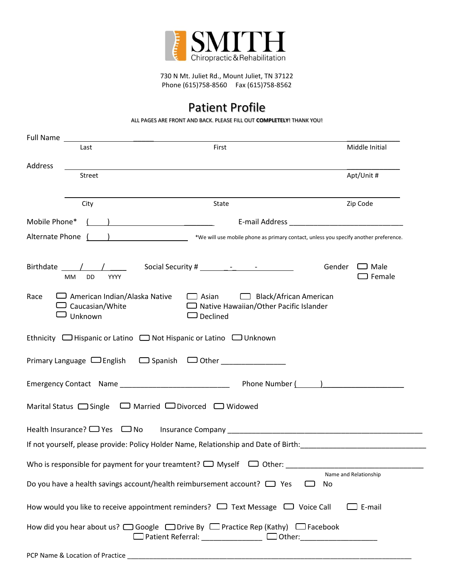

730 N Mt. Juliet Rd., Mount Juliet, TN 37122 Phone (615)758-8560 Fax (615)758-8562

### Patient Profile

ALL PAGES ARE FRONT AND BACK. PLEASE FILL OUT **COMPLETELY**! THANK YOU!

| Full Name     |                                                                                |                                                                                                                                                    |                                        |
|---------------|--------------------------------------------------------------------------------|----------------------------------------------------------------------------------------------------------------------------------------------------|----------------------------------------|
|               | Last                                                                           | First                                                                                                                                              | Middle Initial                         |
| Address       |                                                                                |                                                                                                                                                    | Apt/Unit #                             |
|               | Street                                                                         |                                                                                                                                                    |                                        |
|               | City                                                                           | State                                                                                                                                              | Zip Code                               |
| Mobile Phone* |                                                                                | $\left(\begin{array}{c} \begin{array}{c} \begin{array}{c} \end{array}\\ \end{array}\right) \end{array}$                                            |                                        |
|               | Alternate Phone ( )                                                            | *We will use mobile phone as primary contact, unless you specify another preference.                                                               |                                        |
|               | Birthdate / /<br>МM<br>DD<br><b>YYYY</b>                                       |                                                                                                                                                    | Gender<br>$\Box$ Male<br>$\Box$ Female |
| Race          | $\Box$ American Indian/Alaska Native<br>$\sqsupset$ Caucasian/White<br>Unknown | $\Box$ Black/African American<br>$\Box$ Asian<br>$\Box$ Native Hawaiian/Other Pacific Islander<br>$\Box$ Declined                                  |                                        |
|               |                                                                                | Ethnicity <b>O</b> Hispanic or Latino <b>O</b> Not Hispanic or Latino <b>O</b> Unknown                                                             |                                        |
|               |                                                                                | Primary Language $\Box$ English $\Box$ Spanish $\Box$ Other                                                                                        |                                        |
|               |                                                                                |                                                                                                                                                    |                                        |
|               |                                                                                | Marital Status □ Single □ Married □ Divorced □ Widowed                                                                                             |                                        |
|               |                                                                                | Health Insurance? □ Yes □ No Insurance Company _________________________________                                                                   |                                        |
|               |                                                                                | If not yourself, please provide: Policy Holder Name, Relationship and Date of Birth:                                                               |                                        |
|               |                                                                                | Who is responsible for payment for your treamtent? $\Box$ Myself<br>$\Box$ Other:                                                                  |                                        |
|               |                                                                                | Do you have a health savings account/health reimbursement account? $\Box$ Yes                                                                      | Name and Relationship<br>No            |
|               |                                                                                | How would you like to receive appointment reminders? $\Box$ Text Message $\Box$ Voice Call                                                         | $\Box$ E-mail                          |
|               |                                                                                | How did you hear about us? □ Google □ Drive By □ Practice Rep (Kathy) □ Facebook<br>□ Patient Referral: _____________ □ Other: ___________________ |                                        |
|               |                                                                                |                                                                                                                                                    |                                        |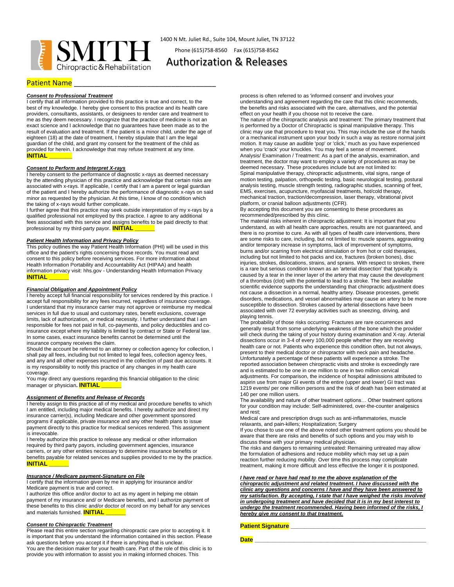

1400 N Mt. Juliet Rd., Suite 104, Mount Juliet, TN 37122

Phone (615)758-8560 Fax (615)758-8562

### Authorization & Releases

### **Patient Name**

#### *Consent to Professional Treatment*

I certify that all information provided to this practice is true and correct, to the best of my knowledge. I hereby give consent to this practice and its health care providers, consultants, assistants, or designees to render care and treatment to me as they deem necessary. I recognize that the practice of medicine is not an exact science and I acknowledge that no guarantees have been made as to the result of evaluation and treatment. If the patient is a minor child, under the age of eighteen (18) at the date of treatment, I hereby stipulate that I am the legal guardian of the child, and grant my consent for the treatment of the child as provided for herein. I acknowledge that may refuse treatment at any time. **INITIAL \_\_\_\_\_\_\_**

#### *Consent to Perform and Interpret X-rays*

I hereby consent to the performance of diagnostic x-rays as deemed necessary by the attending physician of this practice and acknowledge that certain risks are associated with x-rays. If applicable, I certify that I am a parent or legal guardian of the patient and I hereby authorize the performance of diagnostic x-rays on said minor as requested by the physician. At this time, I know of no condition which the taking of x-rays would further complicate.

I further agree that this practice may seek outside interpretation of my x-rays by a qualified professional not employed by this practice. I agree to any additional fees associated with this service and assigns benefits to be paid directly to that professional by my third-party payor. **INITIAL** 

#### *Patient Health Information and Privacy Policy*

This policy outlines the way Patient Health Information (PHI) will be used in this office and the patient's rights concerning those records. You must read and consent to this policy before receiving services. For more information about Health Information Portability and Accountability Act (HIPAA) and health information privacy visit: hhs.gov - Understanding Health Information Privacy **INITIAL \_\_\_\_\_\_**

#### *Financial Obligation and Appointment Policy*

I hereby accept full financial responsibility for services rendered by this practice. I accept full responsibility for any fees incurred, regardless of insurance coverage. I understand that my insurance carrier may not approve or reimburse my medical services in full due to usual and customary rates, benefit exclusions, coverage limits, lack of authorization, or medical necessity. I further understand that I am responsible for fees not paid in full, co-payments, and policy deductibles and coinsurance except where my liability is limited by contract or State or Federal law. In some cases, exact insurance benefits cannot be determined until the insurance company receives the claim.

Should the account be referred to an attorney or collection agency for collection, I shall pay all fees, including but not limited to legal fees, collection agency fees, and any and all other expenses incurred in the collection of past due accounts. It is my responsibility to notify this practice of any changes in my health care coverage.

You may direct any questions regarding this financial obligation to the clinic manager or physician**. INITIAL \_\_\_\_\_\_**

#### *Assignment of Benefits and Release of Records*

I hereby assign to this practice all of my medical and procedure benefits to which I am entitled, including major medical benefits. I hereby authorize and direct my insurance carrier(s), including Medicare and other government sponsored programs if applicable, private insurance and any other health plans to issue payment directly to this practice for medical services rendered. This assignment is irrevocable.

I hereby authorize this practice to release any medical or other information required by third party payors, including government agencies, insurance carriers, or any other entities necessary to determine insurance benefits or benefits payable for related services and supplies provided to me by the practice. **INITIAL \_\_\_\_\_\_**

#### *Insurance / Medicare payment-Signature on File*

I certify that the information given by me in applying for insurance and/or Medicare payment is true and correct.

I authorize this office and/or doctor to act as my agent in helping me obtain payment of my insurance and/ or Medicare benefits, and I authorize payment of these benefits to this clinic and/or doctor of record on my behalf for any services and materials furnished. **INITIAL** 

#### *Consent to Chiropractic Treatment*

Please read this entire section regarding chiropractic care prior to accepting it. It is important that you understand the information contained in this section. Please ask questions before you accept it if there is anything that is unclear. You are the decision maker for your health care. Part of the role of this clinic is to provide you with information to assist you in making informed choices. This

process is often referred to as 'informed consent' and involves your understanding and agreement regarding the care that this clinic recommends, the benefits and risks associated with the care, alternatives, and the potential effect on your health if you choose not to receive the care.

The nature of the chiropractic analysis and treatment: The primary treatment that is performed by a Doctor of Chiropractic is spinal manipulative therapy. This clinic may use that procedure to treat you. This may include the use of the hands or a mechanical instrument upon your body in such a way as restore normal joint motion. It may cause an audible 'pop' or 'click,' much as you have experienced when you 'crack' your knuckles. You may feel a sense of movement. Analysis/ Examination / Treatment: As a part of the analysis, examination, and treatment, the doctor may want to employ a variety of procedures as may be deemed necessary. These procedures include but are not limited to: Spinal manipulative therapy, chiropractic adjustments, vital signs, range of motion testing, palpation, orthopedic testing, basic neurological testing, postural analysis testing, muscle strength testing, radiographic studies, scanning of feet, EMS, exercises, acupuncture, myofascial treatments, hot/cold therapy, mechanical traction, traction/decompression, laser therapy, vibrational pivot platform, or cranial balloon adjustments (CFR).

By accepting this document you are consenting to these procedures as recommended/prescribed by this clinic.

The material risks inherent in chiropractic adjustment: It is important that you understand, as with all health care approaches, results are not guaranteed, and there is no promise to cure. As with all types of health care interventions, there are some risks to care, including, but not limited to: muscle spasms, aggravating and/or temporary increase in symptoms, lack of improvement of symptoms, burns and/or scarring from electrical stimulation or from hot or cold therapies, including but not limited to hot packs and ice, fractures (broken bones), disc injuries, strokes, dislocations, strains, and sprains. With respect to strokes, there is a rare but serious condition known as an 'arterial dissection' that typically is caused by a tear in the inner layer of the artery that may cause the development of a thrombus (clot) with the potential to lead to a stroke. The best available scientific evidence supports the understanding that chiropractic adjustment does not cause a dissection in a normal, healthy artery. Disease processes, genetic disorders, medications, and vessel abnormalities may cause an artery to be more susceptible to dissection. Strokes caused by arterial dissections have been associated with over 72 everyday activities such as sneezing, driving, and playing tennis.

The probability of those risks occurring: Fractures are rare occurrences and generally result from some underlying weakness of the bone which the provider will check during the taking of your history during examination and X-ray. Arterial dissections occur in 3-4 of every 100,000 people whether they are receiving health care or not. Patients who experience this condition often, but not always, present to their medical doctor or chiropractor with neck pain and headache. Unfortunately a percentage of these patients will experience a stroke. The reported association between chiropractic visits and stroke is exceedingly rare and is estimated to be one in one million to one in two million cervical adjustments. For comparison, the incidence of hospital admissions attributed to aspirin use from major GI events of the entire (upper and lower) GI tract was 1219 events/ per one million persons and the risk of death has been estimated at 140 per one million users.

The availability and nature of other treatment options… Other treatment options for your condition may include: Self-administered, over-the-counter analgesics and rest;

Medical care and prescription drugs such as anti-inflammatories, muscle relaxants, and pain-killers; Hospitalization; Surgery

If you chose to use one of the above noted other treatment options you should be aware that there are risks and benefits of such options and you may wish to discuss these with your primary medical physician.

The risks and dangers to remaining untreated: Remaining untreated may allow the formulation of adhesions and reduce mobility which may set up a pain reaction further reducing mobility. Over time this process may complicate treatment, making it more difficult and less effective the longer it is postponed.

*I have read or have had read to me the above explanation of the chiropractic adjustment and related treatment. I have discussed with the clinic any questions and concerns I have and they have been answered to my satisfaction. By accepting, I state that I have weighed the risks involved in undergoing treatment and have decided that it is in my best interest to undergo the treatment recommended. Having been informed of the risks, I hereby give my consent to that treatment.* 

#### **Patient Signature \_\_\_\_\_\_\_\_\_\_\_\_\_\_\_\_\_\_\_\_\_\_\_\_\_\_\_\_\_\_\_\_\_\_\_\_\_\_\_\_\_**

**Date \_\_\_\_\_\_\_\_\_\_\_\_\_\_\_\_\_\_\_\_\_\_\_\_\_\_\_\_\_\_\_\_\_\_\_\_\_\_\_\_\_\_\_\_\_\_\_\_\_\_\_\_**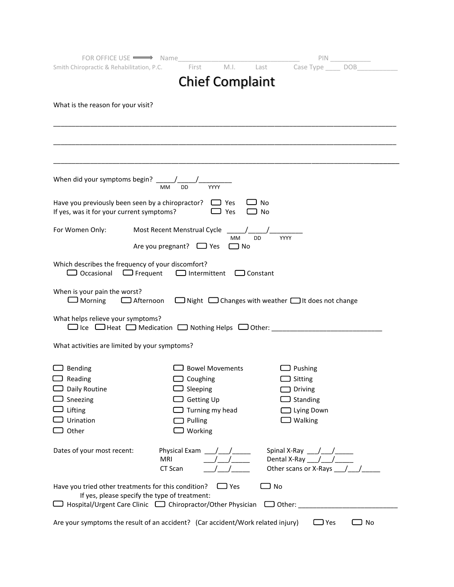| FOR OFFICE USE WE Name                                                                                   |                                           | PIN.                                                                                                                                                                                                                               |  |
|----------------------------------------------------------------------------------------------------------|-------------------------------------------|------------------------------------------------------------------------------------------------------------------------------------------------------------------------------------------------------------------------------------|--|
| Smith Chiropractic & Rehabilitation, P.C.                                                                | First<br>M.I.                             | Last Case Type DOB                                                                                                                                                                                                                 |  |
|                                                                                                          | <b>Chief Complaint</b>                    |                                                                                                                                                                                                                                    |  |
|                                                                                                          |                                           |                                                                                                                                                                                                                                    |  |
| What is the reason for your visit?                                                                       |                                           |                                                                                                                                                                                                                                    |  |
|                                                                                                          |                                           |                                                                                                                                                                                                                                    |  |
|                                                                                                          |                                           |                                                                                                                                                                                                                                    |  |
|                                                                                                          |                                           |                                                                                                                                                                                                                                    |  |
|                                                                                                          |                                           |                                                                                                                                                                                                                                    |  |
|                                                                                                          |                                           |                                                                                                                                                                                                                                    |  |
| When did your symptoms begin? $\frac{1}{M}$ MM                                                           |                                           |                                                                                                                                                                                                                                    |  |
| Have you previously been seen by a chiropractor? $\Box$ Yes<br>If yes, was it for your current symptoms? | $\Box$ Yes                                | $\Box$ No<br>$\Box$ No                                                                                                                                                                                                             |  |
| For Women Only:                                                                                          | Most Recent Menstrual Cycle               |                                                                                                                                                                                                                                    |  |
|                                                                                                          | <b>MM</b>                                 | <b>DD</b><br>YYYY                                                                                                                                                                                                                  |  |
|                                                                                                          | Are you pregnant? $\Box$ Yes<br>$\Box$ No |                                                                                                                                                                                                                                    |  |
| Which describes the frequency of your discomfort?<br>$\Box$ Occasional $\Box$ Frequent                   | $\Box$ Intermittent $\Box$ Constant       |                                                                                                                                                                                                                                    |  |
| When is your pain the worst?<br>$\Box$ Morning                                                           |                                           | $\Box$ Afternoon $\Box$ Night $\Box$ Changes with weather $\Box$ It does not change                                                                                                                                                |  |
| What helps relieve your symptoms?                                                                        |                                           | $\Box$ Ice $\Box$ Heat $\Box$ Medication $\Box$ Nothing Helps $\Box$ Other:                                                                                                                                                        |  |
| What activities are limited by your symptoms?                                                            |                                           |                                                                                                                                                                                                                                    |  |
| $\Box$ Bending                                                                                           | <b>Bowel Movements</b>                    | $\Box$ Pushing                                                                                                                                                                                                                     |  |
| $\Box$ Reading                                                                                           | $\Box$ Coughing                           | $\Box$ Sitting                                                                                                                                                                                                                     |  |
| $\Box$ Daily Routine                                                                                     | $\Box$ Sleeping                           | $\Box$ Driving                                                                                                                                                                                                                     |  |
| Sneezing                                                                                                 | $\Box$ Getting Up                         | $\Box$ Standing                                                                                                                                                                                                                    |  |
| Lifting                                                                                                  | $\Box$ Turning my head                    | $\Box$ Lying Down                                                                                                                                                                                                                  |  |
| Urination                                                                                                | Pulling                                   | $\Box$ Walking                                                                                                                                                                                                                     |  |
| Other                                                                                                    | $\Box$ Working                            |                                                                                                                                                                                                                                    |  |
| Dates of your most recent:<br>MRI                                                                        | CT Scan                                   | Spinal X-Ray $\frac{1}{\sqrt{1-\frac{1}{2}}}\frac{1}{\sqrt{1-\frac{1}{2}}\sqrt{1-\frac{1}{2}}\sqrt{1-\frac{1}{2}}\sqrt{1-\frac{1}{2}}$<br>Dental X-Ray $\frac{1}{\sqrt{1-\frac{1}{2}}}$<br>Other scans or X-Rays $\frac{1}{2}$ / / |  |
|                                                                                                          |                                           |                                                                                                                                                                                                                                    |  |
| Have you tried other treatments for this condition?                                                      | $\Box$ Yes                                | $\Box$ No                                                                                                                                                                                                                          |  |
| If yes, please specify the type of treatment:                                                            |                                           | □ Hospital/Urgent Care Clinic □ Chiropractor/Other Physician □ Other: ______________________________                                                                                                                               |  |
|                                                                                                          |                                           |                                                                                                                                                                                                                                    |  |
| Are your symptoms the result of an accident? (Car accident/Work related injury)                          |                                           | $\Box$ Yes<br>$\Box$ No                                                                                                                                                                                                            |  |
|                                                                                                          |                                           |                                                                                                                                                                                                                                    |  |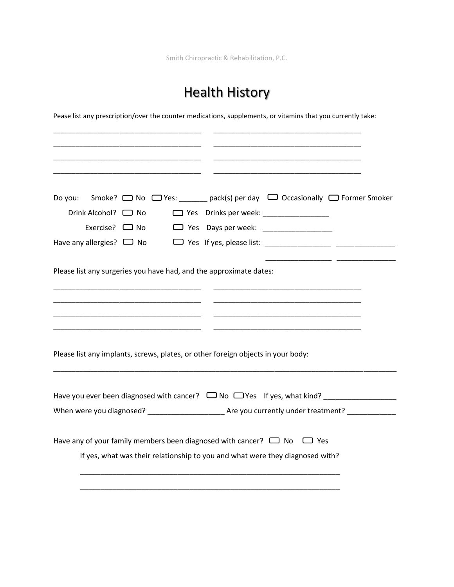Smith Chiropractic & Rehabilitation, P.C.

# Health History

Pease list any prescription/over the counter medications, supplements, or vitamins that you currently take:

| Do you:                                                            | Smoke? $\Box$ No $\Box$ Yes: pack(s) per day $\Box$ Occasionally $\Box$ Former Smoker |
|--------------------------------------------------------------------|---------------------------------------------------------------------------------------|
| Drink Alcohol? <a></a>                                             | □ Yes Drinks per week: _______________                                                |
| Exercise? $\Box$ No                                                | Yes Days per week:                                                                    |
| Have any allergies? $\Box$ No                                      |                                                                                       |
|                                                                    |                                                                                       |
| Please list any surgeries you have had, and the approximate dates: |                                                                                       |
|                                                                    |                                                                                       |
|                                                                    |                                                                                       |
|                                                                    |                                                                                       |
|                                                                    |                                                                                       |
|                                                                    | Please list any implants, screws, plates, or other foreign objects in your body:      |
|                                                                    |                                                                                       |
|                                                                    |                                                                                       |
|                                                                    |                                                                                       |
|                                                                    | When were you diagnosed? Moreover Management Are you currently under treatment?       |
|                                                                    |                                                                                       |
|                                                                    | Have any of your family members been diagnosed with cancer? $\Box$ No $\Box$ Yes      |
|                                                                    | If yes, what was their relationship to you and what were they diagnosed with?         |
|                                                                    |                                                                                       |
|                                                                    |                                                                                       |
|                                                                    |                                                                                       |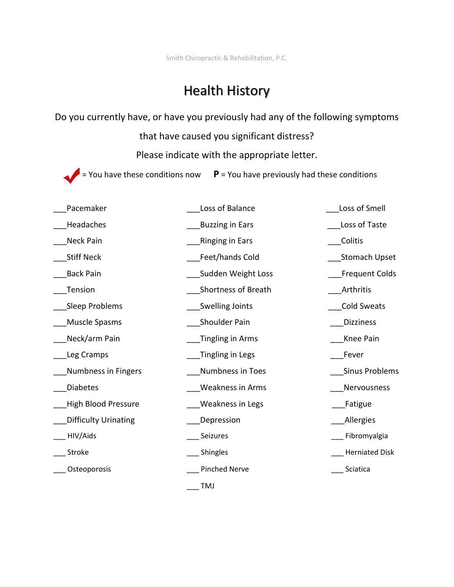Smith Chiropractic & Rehabilitation, P.C.

## Health History

Do you currently have, or have you previously had any of the following symptoms

that have caused you significant distress?

Please indicate with the appropriate letter.

 $\blacktriangleright$  = You have these conditions now  $\blacktriangleright$  P = You have previously had these conditions

| Pacemaker                   | Loss of Balance         | Loss of Smell         |
|-----------------------------|-------------------------|-----------------------|
| Headaches                   | <b>Buzzing in Ears</b>  | Loss of Taste         |
| Neck Pain                   | <b>Ringing in Ears</b>  | Colitis               |
| <b>Stiff Neck</b>           | Feet/hands Cold         | <b>Stomach Upset</b>  |
| <b>Back Pain</b>            | Sudden Weight Loss      | <b>Frequent Colds</b> |
| Tension                     | Shortness of Breath     | Arthritis             |
| Sleep Problems              | <b>Swelling Joints</b>  | Cold Sweats           |
| Muscle Spasms               | Shoulder Pain           | <b>Dizziness</b>      |
| Neck/arm Pain               | Tingling in Arms        | Knee Pain             |
| Leg Cramps                  | Tingling in Legs        | Fever                 |
| Numbness in Fingers         | Numbness in Toes        | <b>Sinus Problems</b> |
| <b>Diabetes</b>             | <b>Weakness in Arms</b> | Nervousness           |
| <b>High Blood Pressure</b>  | <b>Weakness in Legs</b> | Fatigue               |
| <b>Difficulty Urinating</b> | Depression              | <b>Allergies</b>      |
| HIV/Aids                    | Seizures                | Fibromyalgia          |
| Stroke                      | Shingles                | <b>Herniated Disk</b> |
| Osteoporosis                | <b>Pinched Nerve</b>    | Sciatica              |
|                             | <b>TMJ</b>              |                       |